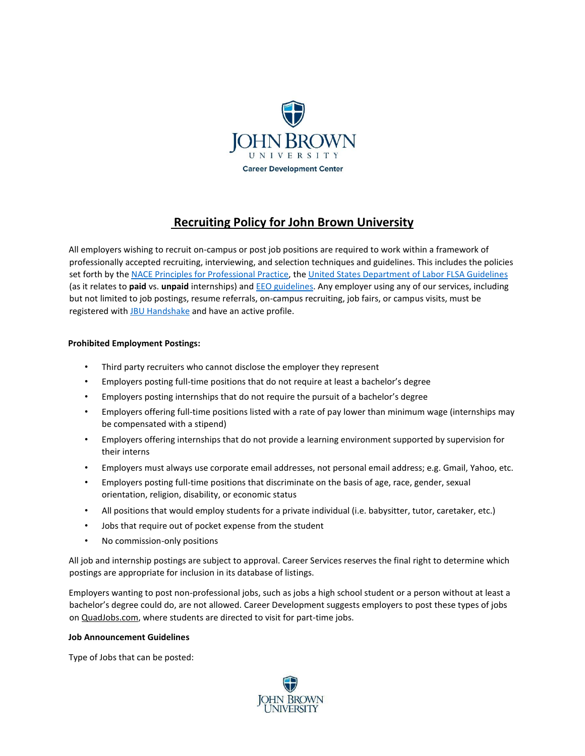

# **Recruiting Policy for John Brown University**

All employers wishing to recruit on-campus or post job positions are required to work within a framework of professionally accepted recruiting, interviewing, and selection techniques and guidelines. This includes the policies set forth by t[he NACE Principles for Professional Practice,](http://www.naceweb.org/career-development/organizational-structure/principles-for-ethical-professional-practice/) [t](http://www.naceweb.org/career-development/organizational-structure/principles-for-ethical-professional-practice/)[he United States Department of Labor FLSA Guidelines](https://www.dol.gov/whd/regs/compliance/whdfs71.htm) (as it relates to **paid** vs. **unpaid** internships) a[nd](https://www.eeoc.gov/) [EEO guidelines.](https://www.eeoc.gov/) [An](https://www.eeoc.gov/)y employer using any of our services, including but not limited to job postings, resume referrals, on-campus recruiting, job fairs, or campus visits, must be registered wi[th](https://app.joinhandshake.com/) [JBU Handshake](https://app.joinhandshake.com/) [an](https://app.joinhandshake.com/)d have an active profile.

# **Prohibited Employment Postings:**

- Third party recruiters who cannot disclose the employer they represent
- Employers posting full-time positions that do not require at least a bachelor's degree
- Employers posting internships that do not require the pursuit of a bachelor's degree
- Employers offering full-time positions listed with a rate of pay lower than minimum wage (internships may be compensated with a stipend)
- Employers offering internships that do not provide a learning environment supported by supervision for their interns
- Employers must always use corporate email addresses, not personal email address; e.g. Gmail, Yahoo, etc.
- Employers posting full-time positions that discriminate on the basis of age, race, gender, sexual orientation, religion, disability, or economic status
- All positions that would employ students for a private individual (i.e. babysitter, tutor, caretaker, etc.)
- Jobs that require out of pocket expense from the student
- No commission-only positions

All job and internship postings are subject to approval. Career Services reserves the final right to determine which postings are appropriate for inclusion in its database of listings.

Employers wanting to post non-professional jobs, such as jobs a high school student or a person without at least a bachelor's degree could do, are not allowed. Career Development suggests employers to post these types of jobs o[n QuadJobs.co](https://www.quadjobs.com/)m, where students are directed to visit for part-time jobs.

## **Job Announcement Guidelines**

Type of Jobs that can be posted:

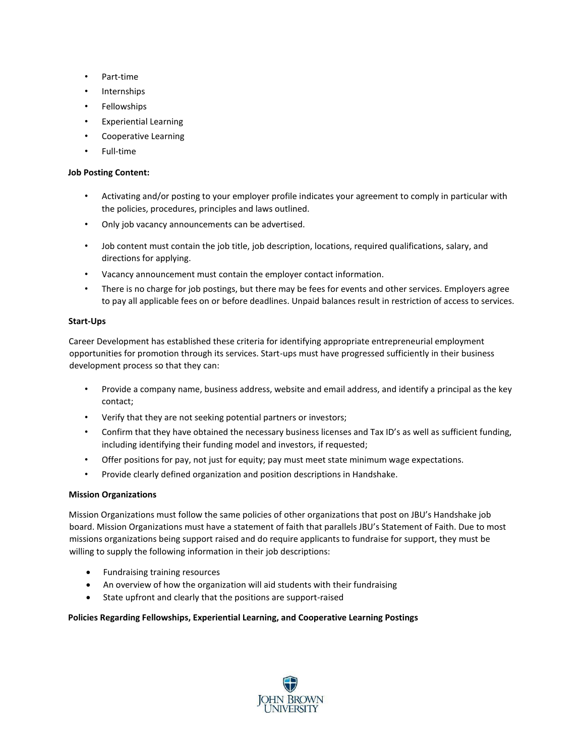- Part-time
- Internships
- **Fellowships**
- Experiential Learning
- Cooperative Learning
- Full-time

## **Job Posting Content:**

- Activating and/or posting to your employer profile indicates your agreement to comply in particular with the policies, procedures, principles and laws outlined.
- Only job vacancy announcements can be advertised.
- Job content must contain the job title, job description, locations, required qualifications, salary, and directions for applying.
- Vacancy announcement must contain the employer contact information.
- There is no charge for job postings, but there may be fees for events and other services. Employers agree to pay all applicable fees on or before deadlines. Unpaid balances result in restriction of access to services.

# **Start-Ups**

Career Development has established these criteria for identifying appropriate entrepreneurial employment opportunities for promotion through its services. Start-ups must have progressed sufficiently in their business development process so that they can:

- Provide a company name, business address, website and email address, and identify a principal as the key contact;
- Verify that they are not seeking potential partners or investors;
- Confirm that they have obtained the necessary business licenses and Tax ID's as well as sufficient funding, including identifying their funding model and investors, if requested;
- Offer positions for pay, not just for equity; pay must meet state minimum wage expectations.
- Provide clearly defined organization and position descriptions in Handshake.

# **Mission Organizations**

Mission Organizations must follow the same policies of other organizations that post on JBU's Handshake job board. Mission Organizations must have a statement of faith that parallels JBU's Statement of Faith. Due to most missions organizations being support raised and do require applicants to fundraise for support, they must be willing to supply the following information in their job descriptions:

- Fundraising training resources
- An overview of how the organization will aid students with their fundraising
- State upfront and clearly that the positions are support-raised

# **Policies Regarding Fellowships, Experiential Learning, and Cooperative Learning Postings**

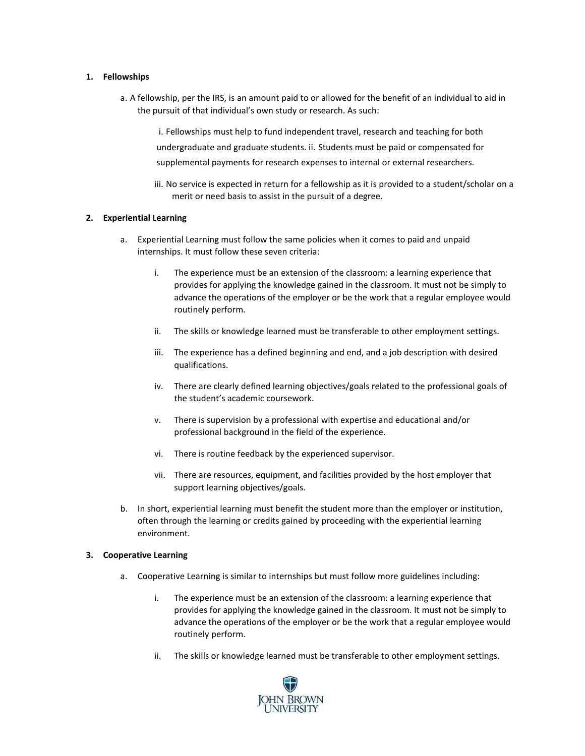#### **1. Fellowships**

a. A fellowship, per the IRS, is an amount paid to or allowed for the benefit of an individual to aid in the pursuit of that individual's own study or research. As such:

i. Fellowships must help to fund independent travel, research and teaching for both undergraduate and graduate students. ii. Students must be paid or compensated for supplemental payments for research expenses to internal or external researchers.

iii. No service is expected in return for a fellowship as it is provided to a student/scholar on a merit or need basis to assist in the pursuit of a degree.

#### **2. Experiential Learning**

- a. Experiential Learning must follow the same policies when it comes to paid and unpaid internships. It must follow these seven criteria:
	- i. The experience must be an extension of the classroom: a learning experience that provides for applying the knowledge gained in the classroom. It must not be simply to advance the operations of the employer or be the work that a regular employee would routinely perform.
	- ii. The skills or knowledge learned must be transferable to other employment settings.
	- iii. The experience has a defined beginning and end, and a job description with desired qualifications.
	- iv. There are clearly defined learning objectives/goals related to the professional goals of the student's academic coursework.
	- v. There is supervision by a professional with expertise and educational and/or professional background in the field of the experience.
	- vi. There is routine feedback by the experienced supervisor.
	- vii. There are resources, equipment, and facilities provided by the host employer that support learning objectives/goals.
- b. In short, experiential learning must benefit the student more than the employer or institution, often through the learning or credits gained by proceeding with the experiential learning environment.

#### **3. Cooperative Learning**

- a. Cooperative Learning is similar to internships but must follow more guidelines including:
	- i. The experience must be an extension of the classroom: a learning experience that provides for applying the knowledge gained in the classroom. It must not be simply to advance the operations of the employer or be the work that a regular employee would routinely perform.
	- ii. The skills or knowledge learned must be transferable to other employment settings.

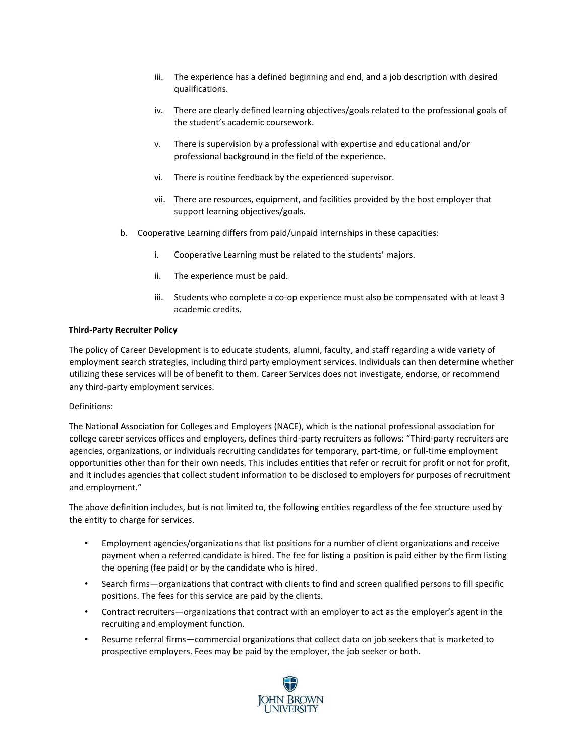- iii. The experience has a defined beginning and end, and a job description with desired qualifications.
- iv. There are clearly defined learning objectives/goals related to the professional goals of the student's academic coursework.
- v. There is supervision by a professional with expertise and educational and/or professional background in the field of the experience.
- vi. There is routine feedback by the experienced supervisor.
- vii. There are resources, equipment, and facilities provided by the host employer that support learning objectives/goals.
- b. Cooperative Learning differs from paid/unpaid internships in these capacities:
	- i. Cooperative Learning must be related to the students' majors.
	- ii. The experience must be paid.
	- iii. Students who complete a co-op experience must also be compensated with at least 3 academic credits.

#### **Third-Party Recruiter Policy**

The policy of Career Development is to educate students, alumni, faculty, and staff regarding a wide variety of employment search strategies, including third party employment services. Individuals can then determine whether utilizing these services will be of benefit to them. Career Services does not investigate, endorse, or recommend any third-party employment services.

#### Definitions:

The National Association for Colleges and Employers (NACE), which is the national professional association for college career services offices and employers, defines third-party recruiters as follows: "Third-party recruiters are agencies, organizations, or individuals recruiting candidates for temporary, part-time, or full-time employment opportunities other than for their own needs. This includes entities that refer or recruit for profit or not for profit, and it includes agencies that collect student information to be disclosed to employers for purposes of recruitment and employment."

The above definition includes, but is not limited to, the following entities regardless of the fee structure used by the entity to charge for services.

- Employment agencies/organizations that list positions for a number of client organizations and receive payment when a referred candidate is hired. The fee for listing a position is paid either by the firm listing the opening (fee paid) or by the candidate who is hired.
- Search firms—organizations that contract with clients to find and screen qualified persons to fill specific positions. The fees for this service are paid by the clients.
- Contract recruiters—organizations that contract with an employer to act as the employer's agent in the recruiting and employment function.
- Resume referral firms—commercial organizations that collect data on job seekers that is marketed to prospective employers. Fees may be paid by the employer, the job seeker or both.